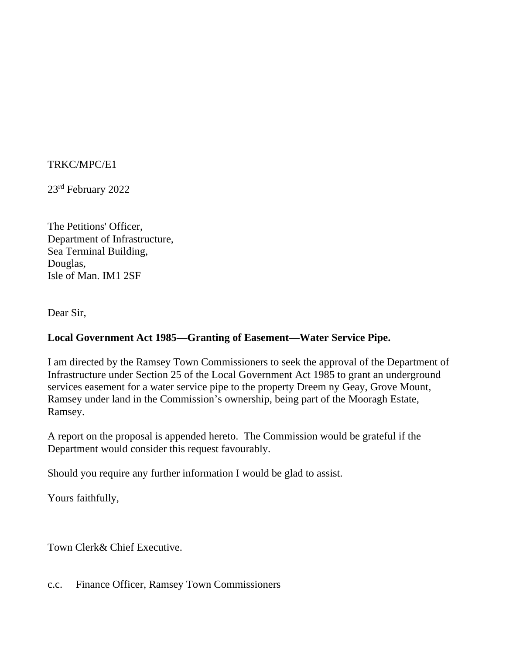## TRKC/MPC/E1

23rd February 2022

The Petitions' Officer, Department of Infrastructure, Sea Terminal Building, Douglas, Isle of Man. IM1 2SF

Dear Sir,

# **Local Government Act 1985—Granting of Easement—Water Service Pipe.**

I am directed by the Ramsey Town Commissioners to seek the approval of the Department of Infrastructure under Section 25 of the Local Government Act 1985 to grant an underground services easement for a water service pipe to the property Dreem ny Geay, Grove Mount, Ramsey under land in the Commission's ownership, being part of the Mooragh Estate, Ramsey.

A report on the proposal is appended hereto. The Commission would be grateful if the Department would consider this request favourably.

Should you require any further information I would be glad to assist.

Yours faithfully,

Town Clerk& Chief Executive.

c.c. Finance Officer, Ramsey Town Commissioners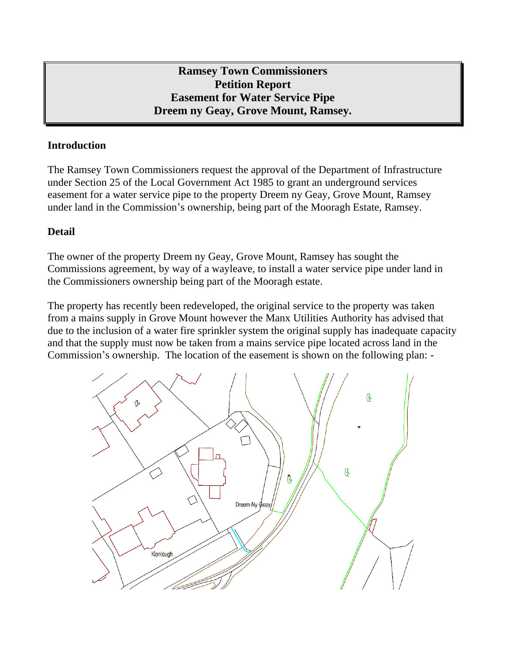**Ramsey Town Commissioners Petition Report Easement for Water Service Pipe Dreem ny Geay, Grove Mount, Ramsey.**

## **Introduction**

The Ramsey Town Commissioners request the approval of the Department of Infrastructure under Section 25 of the Local Government Act 1985 to grant an underground services easement for a water service pipe to the property Dreem ny Geay, Grove Mount, Ramsey under land in the Commission's ownership, being part of the Mooragh Estate, Ramsey.

## **Detail**

The owner of the property Dreem ny Geay, Grove Mount, Ramsey has sought the Commissions agreement, by way of a wayleave, to install a water service pipe under land in the Commissioners ownership being part of the Mooragh estate.

The property has recently been redeveloped, the original service to the property was taken from a mains supply in Grove Mount however the Manx Utilities Authority has advised that due to the inclusion of a water fire sprinkler system the original supply has inadequate capacity and that the supply must now be taken from a mains service pipe located across land in the Commission's ownership. The location of the easement is shown on the following plan: -

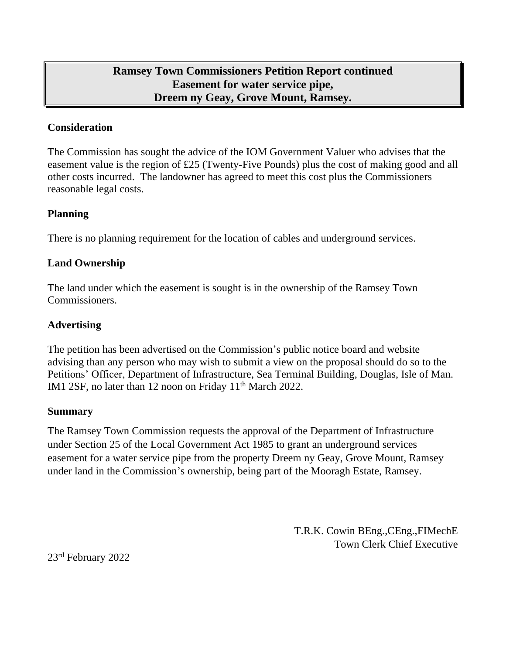# **Ramsey Town Commissioners Petition Report continued Easement for water service pipe, Dreem ny Geay, Grove Mount, Ramsey.**

### **Consideration**

The Commission has sought the advice of the IOM Government Valuer who advises that the easement value is the region of £25 (Twenty-Five Pounds) plus the cost of making good and all other costs incurred. The landowner has agreed to meet this cost plus the Commissioners reasonable legal costs.

### **Planning**

There is no planning requirement for the location of cables and underground services.

### **Land Ownership**

The land under which the easement is sought is in the ownership of the Ramsey Town Commissioners.

## **Advertising**

The petition has been advertised on the Commission's public notice board and website advising than any person who may wish to submit a view on the proposal should do so to the Petitions' Officer, Department of Infrastructure, Sea Terminal Building, Douglas, Isle of Man. IM1 2SF, no later than 12 noon on Friday 11<sup>th</sup> March 2022.

#### **Summary**

The Ramsey Town Commission requests the approval of the Department of Infrastructure under Section 25 of the Local Government Act 1985 to grant an underground services easement for a water service pipe from the property Dreem ny Geay, Grove Mount, Ramsey under land in the Commission's ownership, being part of the Mooragh Estate, Ramsey.

> T.R.K. Cowin BEng.,CEng.,FIMechE Town Clerk Chief Executive

23<sup>rd</sup> February 2022